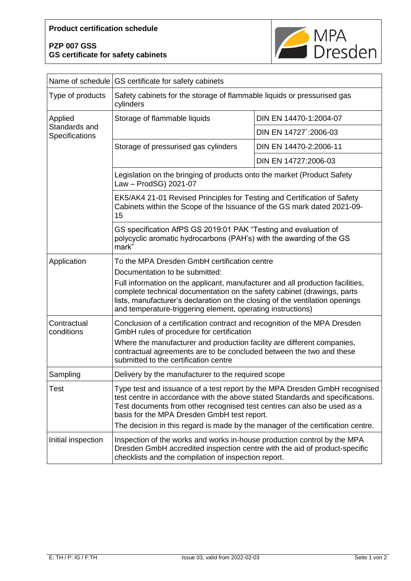## **PZP 007 GSS GS certificate for safety cabinets**



|                                            | Name of schedule GS certificate for safety cabinets                                                                                                                                                                                                                                                                                                                                        |                        |
|--------------------------------------------|--------------------------------------------------------------------------------------------------------------------------------------------------------------------------------------------------------------------------------------------------------------------------------------------------------------------------------------------------------------------------------------------|------------------------|
| Type of products                           | Safety cabinets for the storage of flammable liquids or pressurised gas<br>cylinders                                                                                                                                                                                                                                                                                                       |                        |
| Applied<br>Standards and<br>Specifications | Storage of flammable liquids                                                                                                                                                                                                                                                                                                                                                               | DIN EN 14470-1:2004-07 |
|                                            |                                                                                                                                                                                                                                                                                                                                                                                            | DIN EN 14727':2006-03  |
|                                            | Storage of pressurised gas cylinders                                                                                                                                                                                                                                                                                                                                                       | DIN EN 14470-2:2006-11 |
|                                            |                                                                                                                                                                                                                                                                                                                                                                                            | DIN EN 14727:2006-03   |
|                                            | Legislation on the bringing of products onto the market (Product Safety<br>Law - ProdSG) 2021-07                                                                                                                                                                                                                                                                                           |                        |
|                                            | EK5/AK4 21-01 Revised Principles for Testing and Certification of Safety<br>Cabinets within the Scope of the Issuance of the GS mark dated 2021-09-<br>15                                                                                                                                                                                                                                  |                        |
|                                            | GS specification AfPS GS 2019:01 PAK "Testing and evaluation of<br>polycyclic aromatic hydrocarbons (PAH's) with the awarding of the GS<br>mark"                                                                                                                                                                                                                                           |                        |
| Application                                | To the MPA Dresden GmbH certification centre<br>Documentation to be submitted:<br>Full information on the applicant, manufacturer and all production facilities,<br>complete technical documentation on the safety cabinet (drawings, parts<br>lists, manufacturer's declaration on the closing of the ventilation openings<br>and temperature-triggering element, operating instructions) |                        |
| Contractual<br>conditions                  | Conclusion of a certification contract and recognition of the MPA Dresden<br>GmbH rules of procedure for certification<br>Where the manufacturer and production facility are different companies,<br>contractual agreements are to be concluded between the two and these<br>submitted to the certification centre                                                                         |                        |
| Sampling                                   | Delivery by the manufacturer to the required scope                                                                                                                                                                                                                                                                                                                                         |                        |
| Test                                       | Type test and issuance of a test report by the MPA Dresden GmbH recognised<br>test centre in accordance with the above stated Standards and specifications.<br>Test documents from other recognised test centres can also be used as a<br>basis for the MPA Dresden GmbH test report.<br>The decision in this regard is made by the manager of the certification centre.                   |                        |
| Initial inspection                         | Inspection of the works and works in-house production control by the MPA<br>Dresden GmbH accredited inspection centre with the aid of product-specific<br>checklists and the compilation of inspection report.                                                                                                                                                                             |                        |